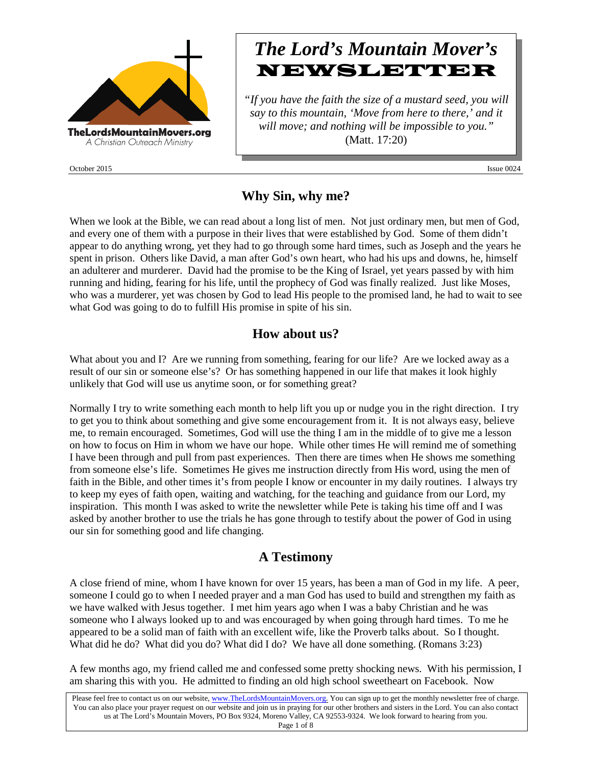

October 2015 **Issue 0024** Issue 0024

# *The Lord's Mountain Mover's* **NEWSLETTER**

*"If you have the faith the size of a mustard seed, you will say to this mountain, 'Move from here to there,' and it will move; and nothing will be impossible to you."* (Matt. 17:20)

### **Why Sin, why me?**

When we look at the Bible, we can read about a long list of men. Not just ordinary men, but men of God, and every one of them with a purpose in their lives that were established by God. Some of them didn't appear to do anything wrong, yet they had to go through some hard times, such as Joseph and the years he spent in prison. Others like David, a man after God's own heart, who had his ups and downs, he, himself an adulterer and murderer. David had the promise to be the King of Israel, yet years passed by with him running and hiding, fearing for his life, until the prophecy of God was finally realized. Just like Moses, who was a murderer, yet was chosen by God to lead His people to the promised land, he had to wait to see what God was going to do to fulfill His promise in spite of his sin.

#### **How about us?**

What about you and I? Are we running from something, fearing for our life? Are we locked away as a result of our sin or someone else's? Or has something happened in our life that makes it look highly unlikely that God will use us anytime soon, or for something great?

Normally I try to write something each month to help lift you up or nudge you in the right direction. I try to get you to think about something and give some encouragement from it. It is not always easy, believe me, to remain encouraged. Sometimes, God will use the thing I am in the middle of to give me a lesson on how to focus on Him in whom we have our hope. While other times He will remind me of something I have been through and pull from past experiences. Then there are times when He shows me something from someone else's life. Sometimes He gives me instruction directly from His word, using the men of faith in the Bible, and other times it's from people I know or encounter in my daily routines. I always try to keep my eyes of faith open, waiting and watching, for the teaching and guidance from our Lord, my inspiration. This month I was asked to write the newsletter while Pete is taking his time off and I was asked by another brother to use the trials he has gone through to testify about the power of God in using our sin for something good and life changing.

#### **A Testimony**

A close friend of mine, whom I have known for over 15 years, has been a man of God in my life. A peer, someone I could go to when I needed prayer and a man God has used to build and strengthen my faith as we have walked with Jesus together. I met him years ago when I was a baby Christian and he was someone who I always looked up to and was encouraged by when going through hard times. To me he appeared to be a solid man of faith with an excellent wife, like the Proverb talks about. So I thought. What did he do? What did you do? What did I do? We have all done something. (Romans 3:23)

A few months ago, my friend called me and confessed some pretty shocking news. With his permission, I am sharing this with you. He admitted to finding an old high school sweetheart on Facebook. Now

Page 1 of 8

Please feel free to contact us on our website, ww[w.TheLordsMountainMovers.o](http://www.thelordsmountainmovers.org/)rg. You can sign up to get the monthly newsletter free of charge. You can also place your prayer request on our website and join us in praying for our other brothers and sisters in the Lord. You can also contact us at The Lord's Mountain Movers, PO Box 9324, Moreno Valley, CA 92553-9324. We look forward to hearing from you.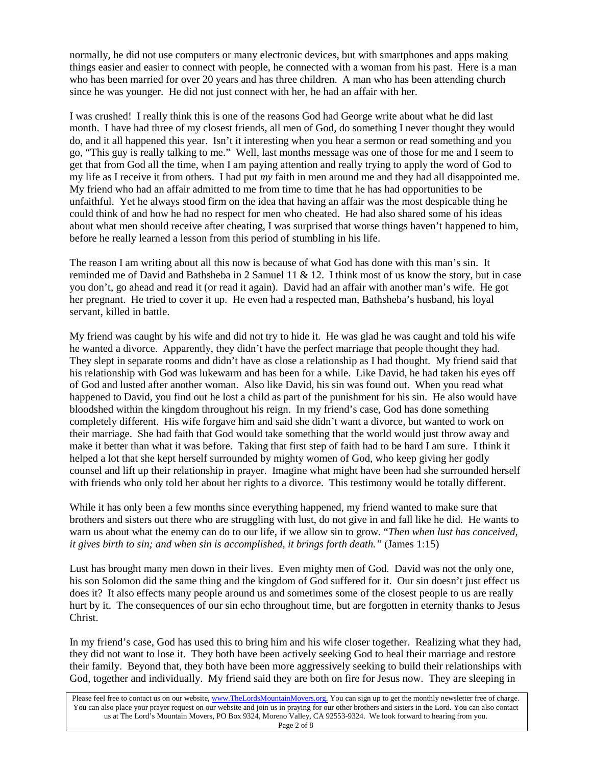normally, he did not use computers or many electronic devices, but with smartphones and apps making things easier and easier to connect with people, he connected with a woman from his past. Here is a man who has been married for over 20 years and has three children. A man who has been attending church since he was younger. He did not just connect with her, he had an affair with her.

I was crushed! I really think this is one of the reasons God had George write about what he did last month. I have had three of my closest friends, all men of God, do something I never thought they would do, and it all happened this year. Isn't it interesting when you hear a sermon or read something and you go, "This guy is really talking to me." Well, last months message was one of those for me and I seem to get that from God all the time, when I am paying attention and really trying to apply the word of God to my life as I receive it from others. I had put *my* faith in men around me and they had all disappointed me. My friend who had an affair admitted to me from time to time that he has had opportunities to be unfaithful. Yet he always stood firm on the idea that having an affair was the most despicable thing he could think of and how he had no respect for men who cheated. He had also shared some of his ideas about what men should receive after cheating, I was surprised that worse things haven't happened to him, before he really learned a lesson from this period of stumbling in his life.

The reason I am writing about all this now is because of what God has done with this man's sin. It reminded me of David and Bathsheba in 2 Samuel 11 & 12. I think most of us know the story, but in case you don't, go ahead and read it (or read it again). David had an affair with another man's wife. He got her pregnant. He tried to cover it up. He even had a respected man, Bathsheba's husband, his loyal servant, killed in battle.

My friend was caught by his wife and did not try to hide it. He was glad he was caught and told his wife he wanted a divorce. Apparently, they didn't have the perfect marriage that people thought they had. They slept in separate rooms and didn't have as close a relationship as I had thought. My friend said that his relationship with God was lukewarm and has been for a while. Like David, he had taken his eyes off of God and lusted after another woman. Also like David, his sin was found out. When you read what happened to David, you find out he lost a child as part of the punishment for his sin. He also would have bloodshed within the kingdom throughout his reign. In my friend's case, God has done something completely different. His wife forgave him and said she didn't want a divorce, but wanted to work on their marriage. She had faith that God would take something that the world would just throw away and make it better than what it was before. Taking that first step of faith had to be hard I am sure. I think it helped a lot that she kept herself surrounded by mighty women of God, who keep giving her godly counsel and lift up their relationship in prayer. Imagine what might have been had she surrounded herself with friends who only told her about her rights to a divorce. This testimony would be totally different.

While it has only been a few months since everything happened, my friend wanted to make sure that brothers and sisters out there who are struggling with lust, do not give in and fall like he did. He wants to warn us about what the enemy can do to our life, if we allow sin to grow. "*Then when lust has conceived, it gives birth to sin; and when sin is accomplished, it brings forth death."* (James 1:15)

Lust has brought many men down in their lives. Even mighty men of God. David was not the only one, his son Solomon did the same thing and the kingdom of God suffered for it. Our sin doesn't just effect us does it? It also effects many people around us and sometimes some of the closest people to us are really hurt by it. The consequences of our sin echo throughout time, but are forgotten in eternity thanks to Jesus Christ.

In my friend's case, God has used this to bring him and his wife closer together. Realizing what they had, they did not want to lose it. They both have been actively seeking God to heal their marriage and restore their family. Beyond that, they both have been more aggressively seeking to build their relationships with God, together and individually. My friend said they are both on fire for Jesus now. They are sleeping in

Please feel free to contact us on our website, ww[w.TheLordsMountainMovers.o](http://www.thelordsmountainmovers.org/)rg. You can sign up to get the monthly newsletter free of charge. You can also place your prayer request on our website and join us in praying for our other brothers and sisters in the Lord. You can also contact us at The Lord's Mountain Movers, PO Box 9324, Moreno Valley, CA 92553-9324. We look forward to hearing from you.

Page 2 of 8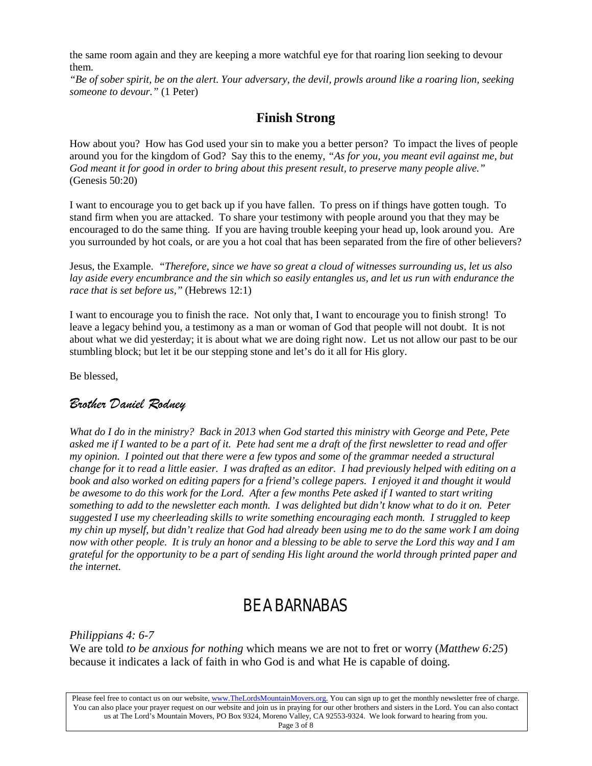the same room again and they are keeping a more watchful eye for that roaring lion seeking to devour them.

*"Be of sober spirit, be on the alert. Your adversary, the devil, prowls around like a roaring lion, seeking someone to devour."* (1 Peter)

#### **Finish Strong**

How about you? How has God used your sin to make you a better person? To impact the lives of people around you for the kingdom of God? Say this to the enemy, *"As for you, you meant evil against me, but God meant it for good in order to bring about this present result, to preserve many people alive."* (Genesis 50:20)

I want to encourage you to get back up if you have fallen. To press on if things have gotten tough. To stand firm when you are attacked. To share your testimony with people around you that they may be encouraged to do the same thing. If you are having trouble keeping your head up, look around you. Are you surrounded by hot coals, or are you a hot coal that has been separated from the fire of other believers?

Jesus, the Example. *"Therefore, since we have so great a cloud of witnesses surrounding us, let us also lay aside every encumbrance and the sin which so easily entangles us, and let us run with endurance the race that is set before us,"* (Hebrews 12:1)

I want to encourage you to finish the race. Not only that, I want to encourage you to finish strong! To leave a legacy behind you, a testimony as a man or woman of God that people will not doubt. It is not about what we did yesterday; it is about what we are doing right now. Let us not allow our past to be our stumbling block; but let it be our stepping stone and let's do it all for His glory.

Be blessed,

#### *Brother Daniel Rodney*

*What do I do in the ministry? Back in 2013 when God started this ministry with George and Pete, Pete asked me if I wanted to be a part of it. Pete had sent me a draft of the first newsletter to read and offer my opinion. I pointed out that there were a few typos and some of the grammar needed a structural change for it to read a little easier. I was drafted as an editor. I had previously helped with editing on a book and also worked on editing papers for a friend's college papers. I enjoyed it and thought it would be awesome to do this work for the Lord. After a few months Pete asked if I wanted to start writing something to add to the newsletter each month. I was delighted but didn't know what to do it on. Peter suggested I use my cheerleading skills to write something encouraging each month. I struggled to keep my chin up myself, but didn't realize that God had already been using me to do the same work I am doing now with other people. It is truly an honor and a blessing to be able to serve the Lord this way and I am grateful for the opportunity to be a part of sending His light around the world through printed paper and the internet.*

## BE A BARNABAS

*Philippians 4: 6-7*

We are told *to be anxious for nothing* which means we are not to fret or worry (*Matthew 6:25*) because it indicates a lack of faith in who God is and what He is capable of doing.

Please feel free to contact us on our website, ww[w.TheLordsMountainMovers.o](http://www.thelordsmountainmovers.org/)rg. You can sign up to get the monthly newsletter free of charge. You can also place your prayer request on our website and join us in praying for our other brothers and sisters in the Lord. You can also contact us at The Lord's Mountain Movers, PO Box 9324, Moreno Valley, CA 92553-9324. We look forward to hearing from you. Page 3 of 8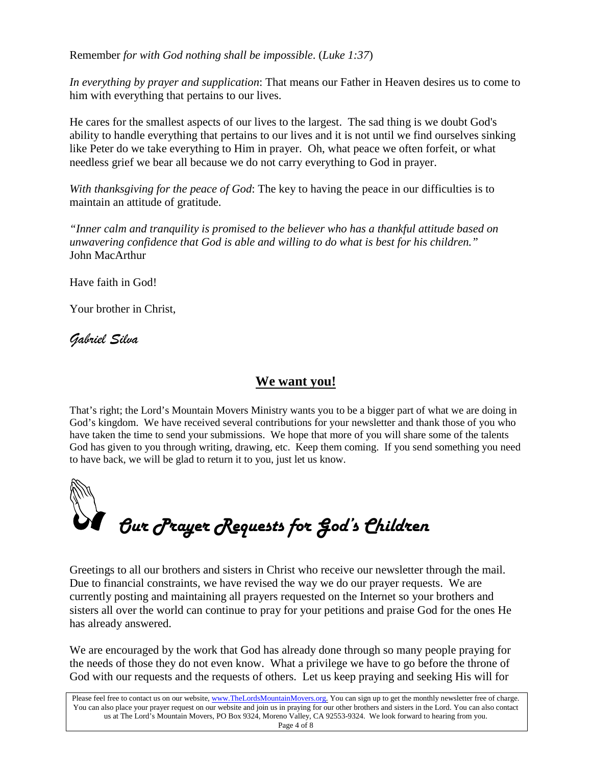Remember *for with God nothing shall be impossible*. (*Luke 1:37*)

*In everything by prayer and supplication*: That means our Father in Heaven desires us to come to him with everything that pertains to our lives.

He cares for the smallest aspects of our lives to the largest. The sad thing is we doubt God's ability to handle everything that pertains to our lives and it is not until we find ourselves sinking like Peter do we take everything to Him in prayer. Oh, what peace we often forfeit, or what needless grief we bear all because we do not carry everything to God in prayer.

*With thanksgiving for the peace of God*: The key to having the peace in our difficulties is to maintain an attitude of gratitude.

*"Inner calm and tranquility is promised to the believer who has a thankful attitude based on unwavering confidence that God is able and willing to do what is best for his children."* John MacArthur

Have faith in God!

Your brother in Christ,

*Gabriel Silva*

#### **We want you!**

That's right; the Lord's Mountain Movers Ministry wants you to be a bigger part of what we are doing in God's kingdom. We have received several contributions for your newsletter and thank those of you who have taken the time to send your submissions. We hope that more of you will share some of the talents God has given to you through writing, drawing, etc. Keep them coming. If you send something you need to have back, we will be glad to return it to you, just let us know.



Greetings to all our brothers and sisters in Christ who receive our newsletter through the mail. Due to financial constraints, we have revised the way we do our prayer requests. We are currently posting and maintaining all prayers requested on the Internet so your brothers and sisters all over the world can continue to pray for your petitions and praise God for the ones He has already answered.

We are encouraged by the work that God has already done through so many people praying for the needs of those they do not even know. What a privilege we have to go before the throne of God with our requests and the requests of others. Let us keep praying and seeking His will for

Please feel free to contact us on our website, ww[w.TheLordsMountainMovers.o](http://www.thelordsmountainmovers.org/)rg. You can sign up to get the monthly newsletter free of charge. You can also place your prayer request on our website and join us in praying for our other brothers and sisters in the Lord. You can also contact us at The Lord's Mountain Movers, PO Box 9324, Moreno Valley, CA 92553-9324. We look forward to hearing from you.

Page 4 of 8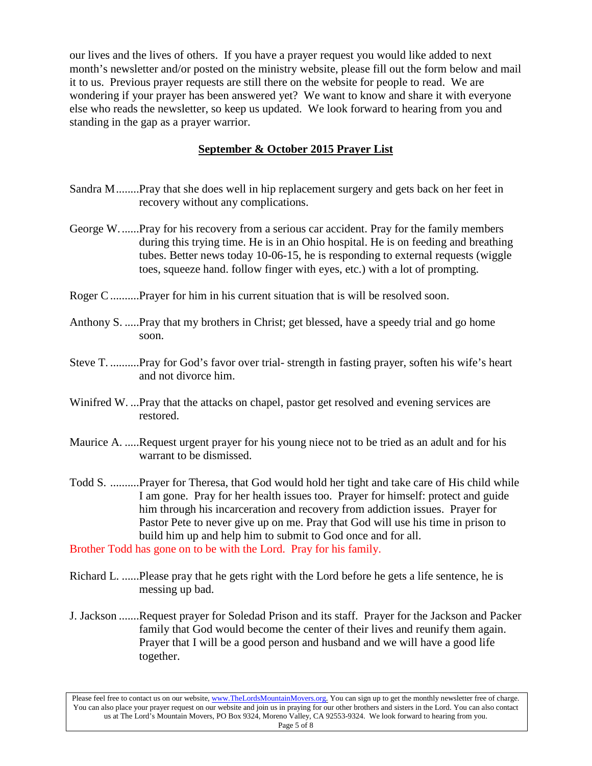our lives and the lives of others. If you have a prayer request you would like added to next month's newsletter and/or posted on the ministry website, please fill out the form below and mail it to us. Previous prayer requests are still there on the website for people to read. We are wondering if your prayer has been answered yet? We want to know and share it with everyone else who reads the newsletter, so keep us updated. We look forward to hearing from you and standing in the gap as a prayer warrior.

#### **September & October 2015 Prayer List**

- Sandra M........Pray that she does well in hip replacement surgery and gets back on her feet in recovery without any complications.
- George W.......Pray for his recovery from a serious car accident. Pray for the family members during this trying time. He is in an Ohio hospital. He is on feeding and breathing tubes. Better news today 10-06-15, he is responding to external requests (wiggle toes, squeeze hand. follow finger with eyes, etc.) with a lot of prompting.
- Roger C..........Prayer for him in his current situation that is will be resolved soon.
- Anthony S. .....Pray that my brothers in Christ; get blessed, have a speedy trial and go home soon.
- Steve T. ..........Pray for God's favor over trial- strength in fasting prayer, soften his wife's heart and not divorce him.
- Winifred W. ...Pray that the attacks on chapel, pastor get resolved and evening services are restored.
- Maurice A. .....Request urgent prayer for his young niece not to be tried as an adult and for his warrant to be dismissed.
- Todd S. ..........Prayer for Theresa, that God would hold her tight and take care of His child while I am gone. Pray for her health issues too. Prayer for himself: protect and guide him through his incarceration and recovery from addiction issues. Prayer for Pastor Pete to never give up on me. Pray that God will use his time in prison to build him up and help him to submit to God once and for all.

Brother Todd has gone on to be with the Lord. Pray for his family.

- Richard L. ......Please pray that he gets right with the Lord before he gets a life sentence, he is messing up bad.
- J. Jackson .......Request prayer for Soledad Prison and its staff. Prayer for the Jackson and Packer family that God would become the center of their lives and reunify them again. Prayer that I will be a good person and husband and we will have a good life together.

Please feel free to contact us on our website, ww[w.TheLordsMountainMovers.o](http://www.thelordsmountainmovers.org/)rg. You can sign up to get the monthly newsletter free of charge. You can also place your prayer request on our website and join us in praying for our other brothers and sisters in the Lord. You can also contact us at The Lord's Mountain Movers, PO Box 9324, Moreno Valley, CA 92553-9324. We look forward to hearing from you. Page 5 of 8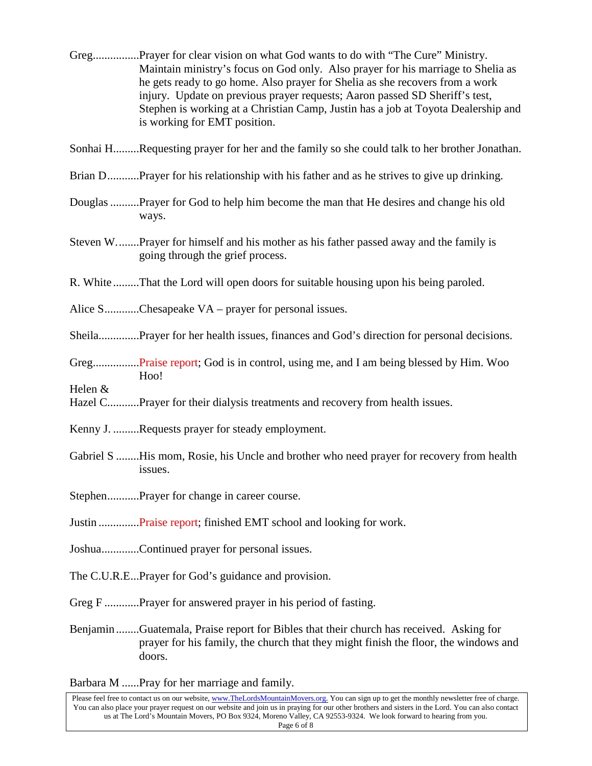- Greg................Prayer for clear vision on what God wants to do with "The Cure" Ministry. Maintain ministry's focus on God only. Also prayer for his marriage to Shelia as he gets ready to go home. Also prayer for Shelia as she recovers from a work injury. Update on previous prayer requests; Aaron passed SD Sheriff's test, Stephen is working at a Christian Camp, Justin has a job at Toyota Dealership and is working for EMT position.
- Sonhai H.........Requesting prayer for her and the family so she could talk to her brother Jonathan.
- Brian D...........Prayer for his relationship with his father and as he strives to give up drinking.
- Douglas..........Prayer for God to help him become the man that He desires and change his old ways.
- Steven W........Prayer for himself and his mother as his father passed away and the family is going through the grief process.
- R. White .........That the Lord will open doors for suitable housing upon his being paroled.
- Alice S...........Chesapeake VA prayer for personal issues.
- Sheila..............Prayer for her health issues, finances and God's direction for personal decisions.
- Greg................Praise report; God is in control, using me, and I am being blessed by Him. Woo H<sub>oo!</sub>

Helen &

- Hazel C...........Prayer for their dialysis treatments and recovery from health issues.
- Kenny J. .........Requests prayer for steady employment.
- Gabriel S ........His mom, Rosie, his Uncle and brother who need prayer for recovery from health issues.
- Stephen...........Prayer for change in career course.
- Justin ..............Praise report; finished EMT school and looking for work.
- Joshua.............Continued prayer for personal issues.
- The C.U.R.E...Prayer for God's guidance and provision.
- Greg F ............Prayer for answered prayer in his period of fasting.
- Benjamin........Guatemala, Praise report for Bibles that their church has received. Asking for prayer for his family, the church that they might finish the floor, the windows and doors.

Barbara M ......Pray for her marriage and family.

Please feel free to contact us on our website, ww[w.TheLordsMountainMovers.o](http://www.thelordsmountainmovers.org/)rg. You can sign up to get the monthly newsletter free of charge. You can also place your prayer request on our website and join us in praying for our other brothers and sisters in the Lord. You can also contact us at The Lord's Mountain Movers, PO Box 9324, Moreno Valley, CA 92553-9324. We look forward to hearing from you. Page 6 of 8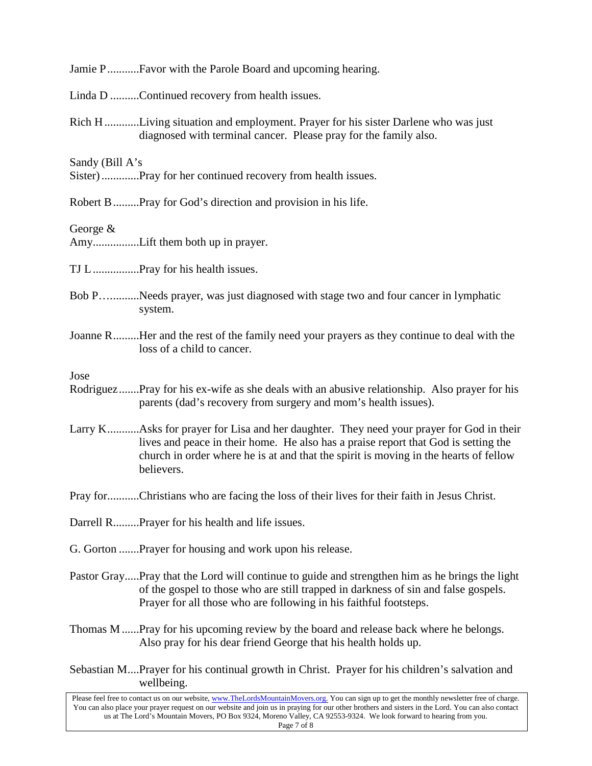| Jamie PFavor with the Parole Board and upcoming hearing.                                                                                                                                                                                                                                          |
|---------------------------------------------------------------------------------------------------------------------------------------------------------------------------------------------------------------------------------------------------------------------------------------------------|
| Linda D Continued recovery from health issues.                                                                                                                                                                                                                                                    |
| Rich HLiving situation and employment. Prayer for his sister Darlene who was just<br>diagnosed with terminal cancer. Please pray for the family also.                                                                                                                                             |
| Sandy (Bill A's<br>Sister)Pray for her continued recovery from health issues.                                                                                                                                                                                                                     |
| Robert B Pray for God's direction and provision in his life.                                                                                                                                                                                                                                      |
| George $&$<br>AmyLift them both up in prayer.                                                                                                                                                                                                                                                     |
| TJ LPray for his health issues.                                                                                                                                                                                                                                                                   |
| Bob PNeeds prayer, was just diagnosed with stage two and four cancer in lymphatic<br>system.                                                                                                                                                                                                      |
| Joanne RHer and the rest of the family need your prayers as they continue to deal with the<br>loss of a child to cancer.                                                                                                                                                                          |
| Jose<br>RodriguezPray for his ex-wife as she deals with an abusive relationship. Also prayer for his<br>parents (dad's recovery from surgery and mom's health issues).                                                                                                                            |
| Larry KAsks for prayer for Lisa and her daughter. They need your prayer for God in their<br>lives and peace in their home. He also has a praise report that God is setting the<br>church in order where he is at and that the spirit is moving in the hearts of fellow<br>believers.              |
| Pray forChristians who are facing the loss of their lives for their faith in Jesus Christ.                                                                                                                                                                                                        |
| Darrell R Prayer for his health and life issues.                                                                                                                                                                                                                                                  |
| G. Gorton Prayer for housing and work upon his release.                                                                                                                                                                                                                                           |
| Pastor GrayPray that the Lord will continue to guide and strengthen him as he brings the light<br>of the gospel to those who are still trapped in darkness of sin and false gospels.<br>Prayer for all those who are following in his faithful footsteps.                                         |
| Thomas M  Pray for his upcoming review by the board and release back where he belongs.<br>Also pray for his dear friend George that his health holds up.                                                                                                                                          |
| Sebastian MPrayer for his continual growth in Christ. Prayer for his children's salvation and<br>wellbeing.                                                                                                                                                                                       |
| Please feel free to contact us on our website, www.TheLordsMountainMovers.org. You can sign up to get the monthly newsletter free of charge.<br>You can also place your prayer request on our website and join us in praying for our other brothers and sisters in the Lord. You can also contact |

us at The Lord's Mountain Movers, PO Box 9324, Moreno Valley, CA 92553-9324. We look forward to hearing from you.